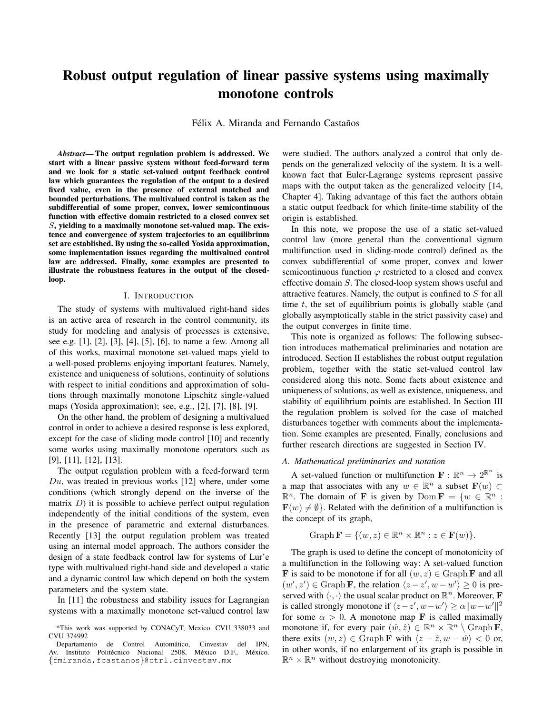# Robust output regulation of linear passive systems using maximally monotone controls

Félix A. Miranda and Fernando Castaños

*Abstract*— The output regulation problem is addressed. We start with a linear passive system without feed-forward term and we look for a static set-valued output feedback control law which guarantees the regulation of the output to a desired fixed value, even in the presence of external matched and bounded perturbations. The multivalued control is taken as the subdifferential of some proper, convex, lower semicontinuous function with effective domain restricted to a closed convex set S, yielding to a maximally monotone set-valued map. The existence and convergence of system trajectories to an equilibrium set are established. By using the so-called Yosida approximation, some implementation issues regarding the multivalued control law are addressed. Finally, some examples are presented to illustrate the robustness features in the output of the closedloop.

#### I. INTRODUCTION

The study of systems with multivalued right-hand sides is an active area of research in the control community, its study for modeling and analysis of processes is extensive, see e.g. [1], [2], [3], [4], [5], [6], to name a few. Among all of this works, maximal monotone set-valued maps yield to a well-posed problems enjoying important features. Namely, existence and uniqueness of solutions, continuity of solutions with respect to initial conditions and approximation of solutions through maximally monotone Lipschitz single-valued maps (Yosida approximation); see, e.g., [2], [7], [8], [9].

On the other hand, the problem of designing a multivalued control in order to achieve a desired response is less explored, except for the case of sliding mode control [10] and recently some works using maximally monotone operators such as [9], [11], [12], [13].

The output regulation problem with a feed-forward term  $Du$ , was treated in previous works [12] where, under some conditions (which strongly depend on the inverse of the matrix  $D$ ) it is possible to achieve perfect output regulation independently of the initial conditions of the system, even in the presence of parametric and external disturbances. Recently [13] the output regulation problem was treated using an internal model approach. The authors consider the design of a state feedback control law for systems of Lur'e type with multivalued right-hand side and developed a static and a dynamic control law which depend on both the system parameters and the system state.

In [11] the robustness and stability issues for Lagrangian systems with a maximally monotone set-valued control law were studied. The authors analyzed a control that only depends on the generalized velocity of the system. It is a wellknown fact that Euler-Lagrange systems represent passive maps with the output taken as the generalized velocity [14, Chapter 4]. Taking advantage of this fact the authors obtain a static output feedback for which finite-time stability of the origin is established.

In this note, we propose the use of a static set-valued control law (more general than the conventional signum multifunction used in sliding-mode control) defined as the convex subdifferential of some proper, convex and lower semicontinuous function  $\varphi$  restricted to a closed and convex effective domain S. The closed-loop system shows useful and attractive features. Namely, the output is confined to S for all time  $t$ , the set of equilibrium points is globally stable (and globally asymptotically stable in the strict passivity case) and the output converges in finite time.

This note is organized as follows: The following subsection introduces mathematical preliminaries and notation are introduced. Section II establishes the robust output regulation problem, together with the static set-valued control law considered along this note. Some facts about existence and uniqueness of solutions, as well as existence, uniqueness, and stability of equilibrium points are established. In Section III the regulation problem is solved for the case of matched disturbances together with comments about the implementation. Some examples are presented. Finally, conclusions and further research directions are suggested in Section IV.

### *A. Mathematical preliminaries and notation*

A set-valued function or multifunction  $\mathbf{F} : \mathbb{R}^n \to 2^{\mathbb{R}^n}$  is a map that associates with any  $w \in \mathbb{R}^n$  a subset  $\mathbf{F}(w) \subset$  $\mathbb{R}^n$ . The domain of **F** is given by Dom  $\mathbf{F} = \{w \in \mathbb{R}^n :$  $\mathbf{F}(w) \neq \emptyset$ . Related with the definition of a multifunction is the concept of its graph,

$$
Graph \mathbf{F} = \{ (w, z) \in \mathbb{R}^n \times \mathbb{R}^n : z \in \mathbf{F}(w) \}.
$$

The graph is used to define the concept of monotonicity of a multifunction in the following way: A set-valued function **F** is said to be monotone if for all  $(w, z) \in \text{Graph } \mathbf{F}$  and all  $(w', z') \in \text{Graph } \mathbf{F}$ , the relation  $\langle z - z', w - w' \rangle \geq 0$  is preserved with  $\langle \cdot, \cdot \rangle$  the usual scalar product on  $\mathbb{R}^n$ . Moreover, **F** is called strongly monotone if  $\langle z-z', w-w' \rangle \ge \alpha ||w-w'||^2$ for some  $\alpha > 0$ . A monotone map **F** is called maximally monotone if, for every pair  $(\hat{w}, \hat{z}) \in \mathbb{R}^n \times \mathbb{R}^n \setminus \operatorname{Graph}{F}$ , there exits  $(w, z) \in \text{Graph } \mathbf{F}$  with  $\langle z - \hat{z}, w - \hat{w} \rangle < 0$  or, in other words, if no enlargement of its graph is possible in  $\mathbb{R}^n \times \mathbb{R}^n$  without destroying monotonicity.

<sup>\*</sup>This work was supported by CONACyT, Mexico. CVU 338033 and CVU 374992

Departamento de Control Automático, Cinvestav del IPN, Av. Instituto Politécnico Nacional 2508, México D.F., México. {fmiranda,fcastanos}@ctrl.cinvestav.mx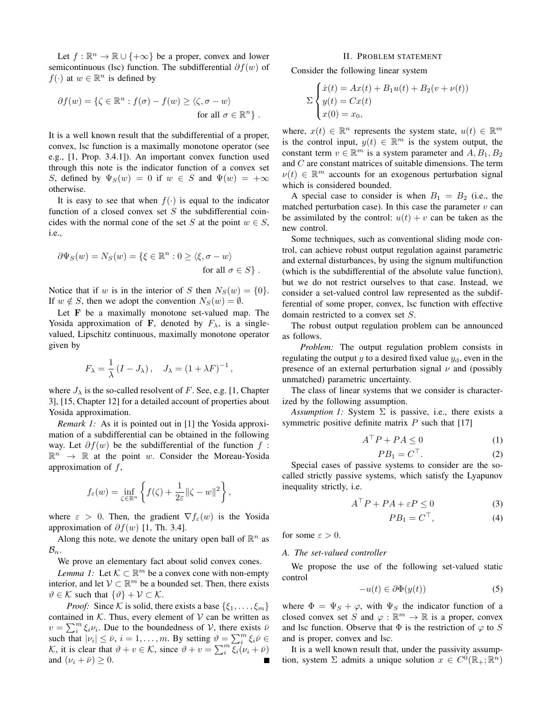Let  $f : \mathbb{R}^n \to \mathbb{R} \cup \{+\infty\}$  be a proper, convex and lower semicontinuous (lsc) function. The subdifferential  $\partial f(w)$  of  $f(\cdot)$  at  $w \in \mathbb{R}^n$  is defined by

$$
\partial f(w) = \{ \zeta \in \mathbb{R}^n : f(\sigma) - f(w) \ge \langle \zeta, \sigma - w \rangle
$$
  
for all  $\sigma \in \mathbb{R}^n \}.$ 

It is a well known result that the subdifferential of a proper, convex, lsc function is a maximally monotone operator (see e.g., [1, Prop. 3.4.1]). An important convex function used through this note is the indicator function of a convex set S, defined by  $\Psi_S(w) = 0$  if  $w \in S$  and  $\Psi(w) = +\infty$ otherwise.

It is easy to see that when  $f(\cdot)$  is equal to the indicator function of a closed convex set  $S$  the subdifferential coincides with the normal cone of the set S at the point  $w \in S$ , i.e.,

$$
\partial \Psi_S(w) = N_S(w) = \{ \xi \in \mathbb{R}^n : 0 \ge \langle \xi, \sigma - w \rangle
$$
  
for all  $\sigma \in S \}.$ 

Notice that if w is in the interior of S then  $N_S(w) = \{0\}.$ If  $w \notin S$ , then we adopt the convention  $N_S(w) = \emptyset$ .

Let F be a maximally monotone set-valued map. The Yosida approximation of F, denoted by  $F_{\lambda}$ , is a singlevalued, Lipschitz continuous, maximally monotone operator given by

$$
F_{\lambda} = \frac{1}{\lambda} \left( I - J_{\lambda} \right), \quad J_{\lambda} = \left( 1 + \lambda F \right)^{-1},
$$

where  $J_{\lambda}$  is the so-called resolvent of F. See, e.g. [1, Chapter 3], [15, Chapter 12] for a detailed account of properties about Yosida approximation.

*Remark 1:* As it is pointed out in [1] the Yosida approximation of a subdifferential can be obtained in the following way. Let  $\partial f(w)$  be the subdifferential of the function f:  $\mathbb{R}^n \to \mathbb{R}$  at the point w. Consider the Moreau-Yosida approximation of  $f$ ,

$$
f_{\varepsilon}(w) = \inf_{\zeta \in \mathbb{R}^n} \left\{ f(\zeta) + \frac{1}{2\varepsilon} ||\zeta - w||^2 \right\},\,
$$

where  $\varepsilon > 0$ . Then, the gradient  $\nabla f_{\varepsilon}(w)$  is the Yosida approximation of  $\partial f(w)$  [1, Th. 3.4].

Along this note, we denote the unitary open ball of  $\mathbb{R}^n$  as  $\mathcal{B}_n$ .

We prove an elementary fact about solid convex cones.

*Lemma 1:* Let  $K \subset \mathbb{R}^m$  be a convex cone with non-empty interior, and let  $V \subset \mathbb{R}^m$  be a bounded set. Then, there exists  $\vartheta \in \mathcal{K}$  such that  $\{\vartheta\} + \mathcal{V} \subset \mathcal{K}$ .

*Proof:* Since K is solid, there exists a base  $\{\xi_1, \ldots, \xi_m\}$ contained in  $K$ . Thus, every element of  $V$  can be written as  $v = \sum_{i=1}^{m} \xi_i v_i$ . Due to the boundedness of V, there exists  $\bar{v}$ such that  $|\nu_i| \leq \bar{\nu}$ ,  $i = 1, ..., m$ . By setting  $\vartheta = \sum_i^m \xi_i \bar{\nu} \in$ K, it is clear that  $\vartheta + v \in \mathcal{K}$ , since  $\vartheta + v = \sum_{i=1}^{m} \xi_i (v_i + \bar{v})$ and  $(\nu_i + \bar{\nu}) \geq 0$ .

#### II. PROBLEM STATEMENT

Consider the following linear system

$$
\Sigma \begin{cases} \dot{x}(t) = Ax(t) + B_1 u(t) + B_2 (v + \nu(t)) \\ y(t) = Cx(t) \\ x(0) = x_0, \end{cases}
$$

where,  $x(t) \in \mathbb{R}^n$  represents the system state,  $u(t) \in \mathbb{R}^m$ is the control input,  $y(t) \in \mathbb{R}^m$  is the system output, the constant term  $v \in \mathbb{R}^m$  is a system parameter and  $A, B_1, B_2$ and C are constant matrices of suitable dimensions. The term  $\nu(t) \in \mathbb{R}^m$  accounts for an exogenous perturbation signal which is considered bounded.

A special case to consider is when  $B_1 = B_2$  (i.e., the matched perturbation case). In this case the parameter  $v$  can be assimilated by the control:  $u(t) + v$  can be taken as the new control.

Some techniques, such as conventional sliding mode control, can achieve robust output regulation against parametric and external disturbances, by using the signum multifunction (which is the subdifferential of the absolute value function), but we do not restrict ourselves to that case. Instead, we consider a set-valued control law represented as the subdifferential of some proper, convex, lsc function with effective domain restricted to a convex set S.

The robust output regulation problem can be announced as follows.

*Problem:* The output regulation problem consists in regulating the output y to a desired fixed value  $y_d$ , even in the presence of an external perturbation signal  $\nu$  and (possibly unmatched) parametric uncertainty.

The class of linear systems that we consider is characterized by the following assumption.

*Assumption 1:* System  $\Sigma$  is passive, i.e., there exists a symmetric positive definite matrix  $P$  such that [17]

$$
A^{\top}P + PA \le 0 \tag{1}
$$

$$
PB_1 = C^\top. \tag{2}
$$

Special cases of passive systems to consider are the socalled strictly passive systems, which satisfy the Lyapunov inequality strictly, i.e.

$$
A^{\top}P + PA + \varepsilon P \le 0 \tag{3}
$$

$$
PB_1 = C^\top,\tag{4}
$$

for some  $\varepsilon > 0$ .

## *A. The set-valued controller*

We propose the use of the following set-valued static control

$$
-u(t) \in \partial \Phi(y(t))\tag{5}
$$

where  $\Phi = \Psi_S + \varphi$ , with  $\Psi_S$  the indicator function of a closed convex set S and  $\varphi : \mathbb{R}^m \to \mathbb{R}$  is a proper, convex and lsc function. Observe that  $\Phi$  is the restriction of  $\varphi$  to S and is proper, convex and lsc.

It is a well known result that, under the passivity assumption, system  $\Sigma$  admits a unique solution  $x \in C^0(\mathbb{R}_+;\mathbb{R}^n)$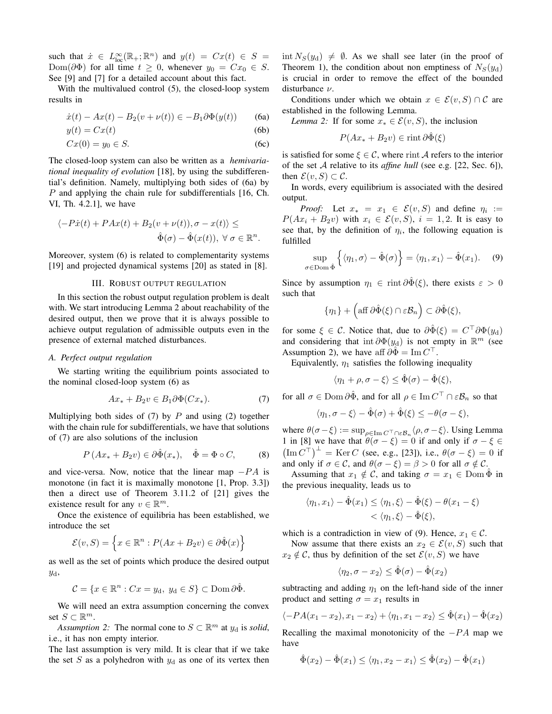such that  $\dot{x} \in L^{\infty}_{loc}(\mathbb{R}_{+}; \mathbb{R}^{n})$  and  $y(t) = Cx(t) \in S =$ Dom( $\partial \Phi$ ) for all time  $t \geq 0$ , whenever  $y_0 = Cx_0 \in S$ . See [9] and [7] for a detailed account about this fact.

With the multivalued control (5), the closed-loop system results in

$$
\dot{x}(t) - Ax(t) - B_2(v + \nu(t)) \in -B_1 \partial \Phi(y(t)) \tag{6a}
$$

$$
y(t) = Cx(t) \tag{6b}
$$

$$
Cx(0) = y_0 \in S. \tag{6c}
$$

The closed-loop system can also be written as a *hemivariational inequality of evolution* [18], by using the subdifferential's definition. Namely, multiplying both sides of (6a) by P and applying the chain rule for subdifferentials [16, Ch. VI, Th. 4.2.1], we have

$$
\langle -P\dot{x}(t) + PAx(t) + B_2(v + \nu(t)), \sigma - x(t) \rangle \le
$$
  

$$
\hat{\Phi}(\sigma) - \hat{\Phi}(x(t)), \ \forall \ \sigma \in \mathbb{R}^n.
$$

Moreover, system (6) is related to complementarity systems [19] and projected dynamical systems [20] as stated in [8].

## III. ROBUST OUTPUT REGULATION

In this section the robust output regulation problem is dealt with. We start introducing Lemma 2 about reachability of the desired output, then we prove that it is always possible to achieve output regulation of admissible outputs even in the presence of external matched disturbances.

## *A. Perfect output regulation*

We starting writing the equilibrium points associated to the nominal closed-loop system (6) as

$$
Ax_* + B_2 v \in B_1 \partial \Phi(Cx_*). \tag{7}
$$

Multiplying both sides of  $(7)$  by P and using  $(2)$  together with the chain rule for subdifferentials, we have that solutions of (7) are also solutions of the inclusion

$$
P(Ax_* + B_2v) \in \partial \hat{\Phi}(x_*), \quad \hat{\Phi} = \Phi \circ C, \tag{8}
$$

and vice-versa. Now, notice that the linear map  $-PA$  is monotone (in fact it is maximally monotone [1, Prop. 3.3]) then a direct use of Theorem 3.11.2 of [21] gives the existence result for any  $v \in \mathbb{R}^m$ .

Once the existence of equilibria has been established, we introduce the set

$$
\mathcal{E}(v, S) = \left\{ x \in \mathbb{R}^n : P(Ax + B_2 v) \in \partial \hat{\Phi}(x) \right\}
$$

as well as the set of points which produce the desired output yd,

$$
\mathcal{C} = \{x \in \mathbb{R}^n : Cx = y_d, \ y_d \in S\} \subset \text{Dom}\,\partial\hat{\Phi}.
$$

We will need an extra assumption concerning the convex set  $S \subset \mathbb{R}^m$ .

*Assumption 2:* The normal cone to  $S \subset \mathbb{R}^m$  at  $y_d$  is *solid*, i.e., it has non empty interior.

The last assumption is very mild. It is clear that if we take the set S as a polyhedron with  $y_d$  as one of its vertex then  $\int \int \int$  int  $N_S(y_d) \neq \emptyset$ . As we shall see later (in the proof of Theorem 1), the condition about non emptiness of  $N_S(y_d)$ is crucial in order to remove the effect of the bounded disturbance ν.

Conditions under which we obtain  $x \in \mathcal{E}(v, S) \cap C$  are established in the following Lemma.

*Lemma 2:* If for some  $x_* \in \mathcal{E}(v, S)$ , the inclusion

$$
P(Ax_* + B_2v) \in \text{rint}\,\partial\hat{\Phi}(\xi)
$$

is satisfied for some  $\xi \in \mathcal{C}$ , where rint A refers to the interior of the set A relative to its *affine hull* (see e.g. [22, Sec. 6]), then  $\mathcal{E}(v, S) \subset \mathcal{C}$ .

In words, every equilibrium is associated with the desired output.

*Proof:* Let  $x_* = x_1 \in \mathcal{E}(v, S)$  and define  $\eta_i :=$  $P(Ax_i + B_2v)$  with  $x_i \in \mathcal{E}(v, S)$ ,  $i = 1, 2$ . It is easy to see that, by the definition of  $\eta_i$ , the following equation is fulfilled

$$
\sup_{\text{EDom }\hat{\Phi}} \left\{ \langle \eta_1, \sigma \rangle - \hat{\Phi}(\sigma) \right\} = \langle \eta_1, x_1 \rangle - \hat{\Phi}(x_1). \quad (9)
$$

Since by assumption  $\eta_1 \in \text{rint } \partial \Phi(\xi)$ , there exists  $\varepsilon > 0$ such that

 $\sigma$  $\in$ 

$$
\{\eta_1\} + \left(\text{aff }\partial\hat{\Phi}(\xi) \cap \varepsilon B_n\right) \subset \partial\hat{\Phi}(\xi),
$$

for some  $\xi \in \mathcal{C}$ . Notice that, due to  $\partial \hat{\Phi}(\xi) = C^{\top} \partial \Phi(y_d)$ and considering that int  $\partial \Phi(y_{\rm d})$  is not empty in  $\mathbb{R}^m$  (see Assumption 2), we have aff  $\partial \tilde{\Phi} = \text{Im} C^{\top}$ .

Equivalently,  $\eta_1$  satisfies the following inequality

$$
\langle \eta_1 + \rho, \sigma - \xi \rangle \leq \hat{\Phi}(\sigma) - \hat{\Phi}(\xi),
$$

for all  $\sigma \in \mathrm{Dom}\,\partial \hat{\Phi}$ , and for all  $\rho \in \mathrm{Im}\,C^\top \cap \varepsilon \mathcal{B}_n$  so that

$$
\langle \eta_1, \sigma - \xi \rangle - \hat{\Phi}(\sigma) + \hat{\Phi}(\xi) \le -\theta(\sigma - \xi),
$$

where  $\theta(\sigma - \xi) := \sup_{\rho \in \text{Im } C} \tau \cap \varepsilon \mathcal{B}_n \langle \rho, \sigma - \xi \rangle$ . Using Lemma 1 in [8] we have that  $\theta(\sigma - \xi) = 0$  if and only if  $\sigma - \xi \in$  $(\text{Im } C^{\top})^{\perp} = \text{Ker } C$  (see, e.g., [23]), i.e.,  $\theta(\sigma - \xi) = 0$  if and only if  $\sigma \in \mathcal{C}$ , and  $\theta(\sigma - \xi) = \beta > 0$  for all  $\sigma \notin \mathcal{C}$ .

Assuming that  $x_1 \notin \mathcal{C}$ , and taking  $\sigma = x_1 \in \text{Dom } \Phi$  in the previous inequality, leads us to

$$
\langle \eta_1, x_1 \rangle - \hat{\Phi}(x_1) \le \langle \eta_1, \xi \rangle - \hat{\Phi}(\xi) - \theta(x_1 - \xi)
$$
  
< 
$$
< \langle \eta_1, \xi \rangle - \hat{\Phi}(\xi),
$$

which is a contradiction in view of (9). Hence,  $x_1 \in \mathcal{C}$ .

Now assume that there exists an  $x_2 \in \mathcal{E}(v, S)$  such that  $x_2 \notin \mathcal{C}$ , thus by definition of the set  $\mathcal{E}(v, S)$  we have

$$
\langle \eta_2, \sigma - x_2 \rangle \leq \hat{\Phi}(\sigma) - \hat{\Phi}(x_2)
$$

subtracting and adding  $\eta_1$  on the left-hand side of the inner product and setting  $\sigma = x_1$  results in

$$
\langle -PA(x_1 - x_2), x_1 - x_2 \rangle + \langle \eta_1, x_1 - x_2 \rangle \leq \hat{\Phi}(x_1) - \hat{\Phi}(x_2)
$$

Recalling the maximal monotonicity of the  $-PA$  map we have

$$
\hat{\Phi}(x_2) - \hat{\Phi}(x_1) \le \langle \eta_1, x_2 - x_1 \rangle \le \hat{\Phi}(x_2) - \hat{\Phi}(x_1)
$$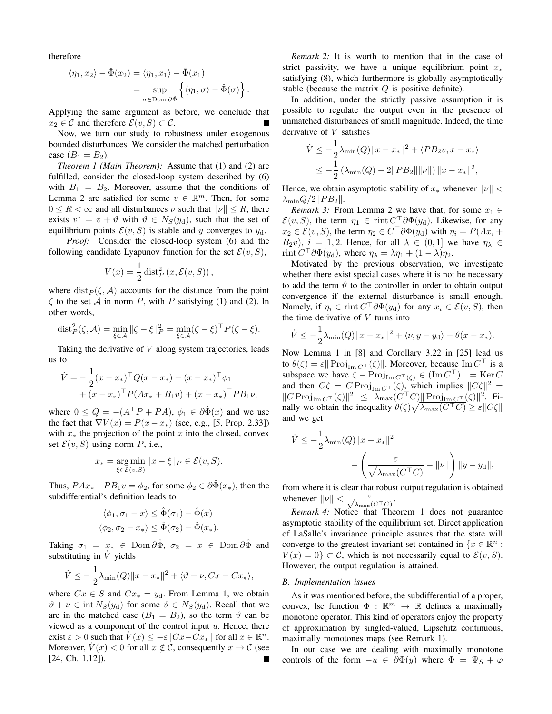therefore

$$
\langle \eta_1, x_2 \rangle - \hat{\Phi}(x_2) = \langle \eta_1, x_1 \rangle - \hat{\Phi}(x_1)
$$
  
= 
$$
\sup_{\sigma \in \text{Dom } \partial \hat{\Phi}} \left\{ \langle \eta_1, \sigma \rangle - \hat{\Phi}(\sigma) \right\}.
$$

Applying the same argument as before, we conclude that  $x_2 \in \mathcal{C}$  and therefore  $\mathcal{E}(v, S) \subset \mathcal{C}$ .

Now, we turn our study to robustness under exogenous bounded disturbances. We consider the matched perturbation case  $(B_1 = B_2)$ .

*Theorem 1 (Main Theorem):* Assume that (1) and (2) are fulfilled, consider the closed-loop system described by (6) with  $B_1 = B_2$ . Moreover, assume that the conditions of Lemma 2 are satisfied for some  $v \in \mathbb{R}^m$ . Then, for some  $0 \leq R < \infty$  and all disturbances  $\nu$  such that  $\|\nu\| \leq R$ , there exists  $v^* = v + \vartheta$  with  $\vartheta \in N_S(y_d)$ , such that the set of equilibrium points  $\mathcal{E}(v, S)$  is stable and y converges to  $y_d$ .

*Proof:* Consider the closed-loop system (6) and the following candidate Lyapunov function for the set  $\mathcal{E}(v, S)$ ,

$$
V(x) = \frac{1}{2} \operatorname{dist}_P^2(x, \mathcal{E}(v, S)),
$$

where  $dist_P(\zeta, \mathcal{A})$  accounts for the distance from the point  $\zeta$  to the set A in norm P, with P satisfying (1) and (2). In other words,

$$
\text{dist}_P^2(\zeta, \mathcal{A}) = \min_{\xi \in \mathcal{A}} \|\zeta - \xi\|_P^2 = \min_{\xi \in \mathcal{A}} (\zeta - \xi)^\top P(\zeta - \xi).
$$

Taking the derivative of V along system trajectories, leads us to

$$
\dot{V} = -\frac{1}{2}(x - x_*)^{\top} Q (x - x_*) - (x - x_*)^{\top} \phi_1 + (x - x_*)^{\top} P (Ax_* + B_1 v) + (x - x_*)^{\top} P B_1 v,
$$

where  $0 \le Q = -(A^{\top}P + PA), \phi_1 \in \partial \hat{\Phi}(x)$  and we use the fact that  $\nabla V(x) = P(x - x_*)$  (see, e.g., [5, Prop. 2.33]) with  $x<sub>*</sub>$  the projection of the point x into the closed, convex set  $\mathcal{E}(v, S)$  using norm P, i.e.,

$$
x_* = \underset{\xi \in \mathcal{E}(v, S)}{\arg \min} \|x - \xi\|_P \in \mathcal{E}(v, S).
$$

Thus,  $P Ax_* + PB_1 v = \phi_2$ , for some  $\phi_2 \in \partial \hat{\Phi}(x_*)$ , then the subdifferential's definition leads to

$$
\langle \phi_1, \sigma_1 - x \rangle \leq \hat{\Phi}(\sigma_1) - \hat{\Phi}(x)
$$
  

$$
\langle \phi_2, \sigma_2 - x_* \rangle \leq \hat{\Phi}(\sigma_2) - \hat{\Phi}(x_*).
$$

Taking  $\sigma_1 = x_* \in \text{Dom } \partial \hat{\Phi}, \ \sigma_2 = x \in \text{Dom } \partial \hat{\Phi}$  and substituting in  $\dot{V}$  yields

$$
\dot{V} \le -\frac{1}{2}\lambda_{\min}(Q) \|x - x_{*}\|^{2} + \langle \vartheta + \nu, Cx - Cx_{*} \rangle,
$$

where  $Cx \in S$  and  $Cx_* = y_d$ . From Lemma 1, we obtain  $\vartheta + \nu \in \text{int } N_S(y_d)$  for some  $\vartheta \in N_S(y_d)$ . Recall that we are in the matched case  $(B_1 = B_2)$ , so the term  $\vartheta$  can be viewed as a component of the control input  $u$ . Hence, there exist  $\varepsilon > 0$  such that  $\dot{V}(x) \le -\varepsilon ||Cx - \dot{Cx}*||$  for all  $x \in \mathbb{R}^n$ . Moreover,  $V(x) < 0$  for all  $x \notin \mathcal{C}$ , consequently  $x \to \mathcal{C}$  (see [24, Ch. 1.12]).

*Remark 2:* It is worth to mention that in the case of strict passivity, we have a unique equilibrium point  $x_*$ satisfying (8), which furthermore is globally asymptotically stable (because the matrix  $Q$  is positive definite).

In addition, under the strictly passive assumption it is possible to regulate the output even in the presence of unmatched disturbances of small magnitude. Indeed, the time derivative of V satisfies

$$
\dot{V} \le -\frac{1}{2}\lambda_{\min}(Q)\|x - x_{*}\|^{2} + \langle PB_{2}v, x - x_{*}\rangle
$$
  

$$
\le -\frac{1}{2}(\lambda_{\min}(Q) - 2\|PB_{2}\|\|\nu\|)\|x - x_{*}\|^{2},
$$

Hence, we obtain asymptotic stability of  $x_*$  whenever  $||\nu|| <$  $\lambda_{\min} Q/2||PB_2||.$ 

*Remark 3:* From Lemma 2 we have that, for some  $x_1 \in$  $\mathcal{E}(v, S)$ , the term  $\eta_1 \in \text{rint } C^\top \partial \Phi(y_\text{d})$ . Likewise, for any  $x_2 \in \mathcal{E}(v, S)$ , the term  $\eta_2 \in C^\top \partial \Phi(y_\text{d})$  with  $\eta_i = P(Ax_i +$  $B_2v$ ,  $i = 1, 2$ . Hence, for all  $\lambda \in (0, 1]$  we have  $\eta_{\lambda} \in$ rint  $C^{\top} \partial \Phi(y_d)$ , where  $\eta_{\lambda} = \lambda \eta_1 + (1 - \lambda) \eta_2$ .

Motivated by the previous observation, we investigate whether there exist special cases where it is not be necessary to add the term  $\vartheta$  to the controller in order to obtain output convergence if the external disturbance is small enough. Namely, if  $\eta_i \in \text{rint } C^\top \partial \Phi(y_\text{d})$  for any  $x_i \in \mathcal{E}(v, S)$ , then the time derivative of  $V$  turns into

$$
\dot{V} \le -\frac{1}{2}\lambda_{\min}(Q)||x - x_*||^2 + \langle \nu, y - y_d \rangle - \theta(x - x_*)
$$

Now Lemma 1 in [8] and Corollary 3.22 in [25] lead us to  $\theta(\zeta) = \varepsilon || \operatorname{Proj}_{\operatorname{Im} C}(\zeta) ||$ . Moreover, because  $\operatorname{Im} C^{\top}$  is a subspace we have  $\zeta - \text{Proj}_{\text{Im }C^{\top}(\zeta)} \in (\text{Im } C^{\top})^{\perp} = \text{Ker } C$ and then  $C\zeta = C \operatorname{Proj}_{\operatorname{Im} C^{\top}}(\zeta)$ , which implies  $||C\zeta||^2 =$  $||C \operatorname{Proj}_{\operatorname{Im} C}(\zeta)||^2 \leq \lambda_{\max}(C^\top C) ||\operatorname{Proj}_{\operatorname{Im} C}(\zeta)||^2.$  Finally we obtain the inequality  $\theta(\zeta)\sqrt{\lambda_{\max}(C^{\top}C)} \ge \varepsilon ||C\zeta||$ and we get

$$
\dot{V} \le -\frac{1}{2}\lambda_{\min}(Q)\|x - x_{*}\|^{2}
$$

$$
-\left(\frac{\varepsilon}{\sqrt{\lambda_{\max}(C^{\top}C)}} - \|\nu\|\right)\|y - y_{d}\|,
$$

from where it is clear that robust output regulation is obtained whenever  $\|\nu\| < \frac{\varepsilon}{\sqrt{\lambda_{\max}(C^\top C)}}$ .

*Remark 4:* Notice that Theorem 1 does not guarantee asymptotic stability of the equilibrium set. Direct application of LaSalle's invariance principle assures that the state will converge to the greatest invariant set contained in  $\{x \in \mathbb{R}^n :$  $V(x) = 0$   $\subset \mathcal{C}$ , which is not necessarily equal to  $\mathcal{E}(v, S)$ . However, the output regulation is attained.

#### *B. Implementation issues*

As it was mentioned before, the subdifferential of a proper, convex, lsc function  $\Phi : \mathbb{R}^m \to \mathbb{R}$  defines a maximally monotone operator. This kind of operators enjoy the property of approximation by singled-valued, Lipschitz continuous, maximally monotones maps (see Remark 1).

In our case we are dealing with maximally monotone controls of the form  $-u \in \partial \Phi(y)$  where  $\Phi = \Psi_S + \varphi$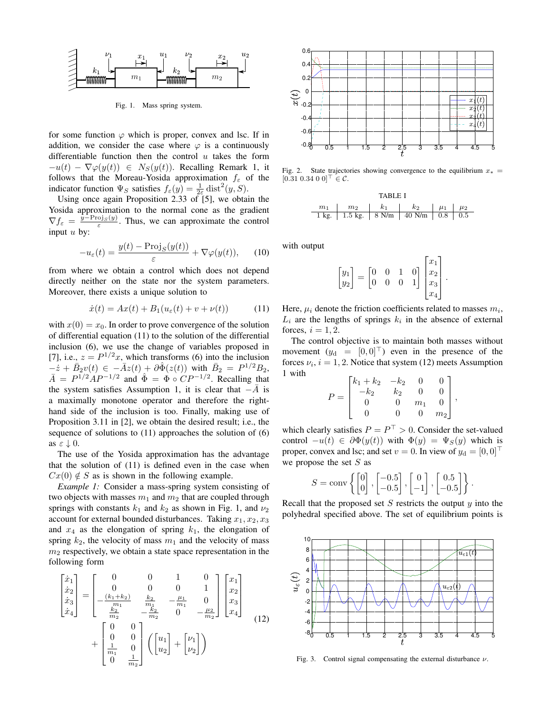

Fig. 1. Mass spring system.

for some function  $\varphi$  which is proper, convex and lsc. If in addition, we consider the case where  $\varphi$  is a continuously differentiable function then the control  $u$  takes the form  $-u(t) - \nabla \varphi(y(t)) \in N_S(y(t))$ . Recalling Remark 1, it follows that the Moreau-Yosida approximation  $f_{\varepsilon}$  of the indicator function  $\Psi_S$  satisfies  $f_{\varepsilon}(y) = \frac{1}{2\varepsilon} \text{dist}^2(y, S)$ .

Using once again Proposition 2.33 of  $[5]$ , we obtain the Yosida approximation to the normal cone as the gradient  $\nabla f_{\varepsilon} = \frac{\hat{y} - \text{Proj}_{S}(y)}{\varepsilon}$ . Thus, we can approximate the control input  $u$  by:

$$
-u_{\varepsilon}(t) = \frac{y(t) - \text{Proj}_S(y(t))}{\varepsilon} + \nabla \varphi(y(t)), \qquad (10)
$$

from where we obtain a control which does not depend directly neither on the state nor the system parameters. Moreover, there exists a unique solution to

$$
\dot{x}(t) = Ax(t) + B_1(u_{\varepsilon}(t) + v + \nu(t))
$$
 (11)

with  $x(0) = x_0$ . In order to prove convergence of the solution of differential equation (11) to the solution of the differential inclusion (6), we use the change of variables proposed in [7], i.e.,  $z = P^{1/2}x$ , which transforms (6) into the inclusion  $-\dot{z} + \bar{B}_2 v(t) \in -\bar{A}z(t) + \partial \hat{\Phi}(z(t))$  with  $\bar{B}_2 = P^{1/2}B_2$ ,  $\overline{A} = P^{1/2}AP^{-1/2}$  and  $\hat{\Phi} = \Phi \circ CP^{-1/2}$ . Recalling that the system satisfies Assumption 1, it is clear that  $-\overline{A}$  is a maximally monotone operator and therefore the righthand side of the inclusion is too. Finally, making use of Proposition 3.11 in [2], we obtain the desired result; i.e., the sequence of solutions to (11) approaches the solution of (6) as  $\varepsilon \downarrow 0$ .

The use of the Yosida approximation has the advantage that the solution of (11) is defined even in the case when  $Cx(0) \notin S$  as is shown in the following example.

*Example 1:* Consider a mass-spring system consisting of two objects with masses  $m_1$  and  $m_2$  that are coupled through springs with constants  $k_1$  and  $k_2$  as shown in Fig. 1, and  $\nu_2$ account for external bounded disturbances. Taking  $x_1, x_2, x_3$ and  $x_4$  as the elongation of spring  $k_1$ , the elongation of spring  $k_2$ , the velocity of mass  $m_1$  and the velocity of mass  $m<sub>2</sub>$  respectively, we obtain a state space representation in the following form

$$
\begin{bmatrix} \dot{x}_1 \\ \dot{x}_2 \\ \dot{x}_3 \\ \dot{x}_4 \end{bmatrix} = \begin{bmatrix} 0 & 0 & 1 & 0 \\ 0 & 0 & 0 & 1 \\ -\frac{(k_1 + k_2)}{m_1} & \frac{k_2}{m_1} & -\frac{\mu_1}{m_1} & 0 \\ \frac{k_2}{m_2} & -\frac{k_2}{m_2} & 0 & -\frac{\mu_2}{m_2} \end{bmatrix} \begin{bmatrix} x_1 \\ x_2 \\ x_3 \\ x_4 \end{bmatrix}
$$
\n
$$
+ \begin{bmatrix} 0 & 0 \\ 0 & 0 \\ \frac{1}{m_1} & 0 \\ 0 & \frac{1}{m_2} \end{bmatrix} \left( \begin{bmatrix} u_1 \\ u_2 \end{bmatrix} + \begin{bmatrix} \nu_1 \\ \nu_2 \end{bmatrix} \right)
$$
\n(12)



Fig. 2. State trajectories showing convergence to the equilibrium  $x_* =$  $[0.31 \; 0.34 \; 0 \; 0]^\top \in \mathcal{C}$ .



with output

$$
\begin{bmatrix} y_1 \\ y_2 \end{bmatrix} = \begin{bmatrix} 0 & 0 & 1 & 0 \\ 0 & 0 & 0 & 1 \end{bmatrix} \begin{bmatrix} x_1 \\ x_2 \\ x_3 \\ x_4 \end{bmatrix}.
$$

Here,  $\mu_i$  denote the friction coefficients related to masses  $m_i$ ,  $L_i$  are the lengths of springs  $k_i$  in the absence of external forces,  $i = 1, 2$ .

The control objective is to maintain both masses without movement  $(y_d = [0, 0]^\top)$  even in the presence of the forces  $\nu_i$ ,  $i = 1, 2$ . Notice that system (12) meets Assumption 1 with

$$
P = \begin{bmatrix} k_1 + k_2 & -k_2 & 0 & 0 \\ -k_2 & k_2 & 0 & 0 \\ 0 & 0 & m_1 & 0 \\ 0 & 0 & 0 & m_2 \end{bmatrix},
$$

which clearly satisfies  $P = P^{\top} > 0$ . Consider the set-valued control  $-u(t) \in \partial \Phi(y(t))$  with  $\Phi(y) = \Psi_S(y)$  which is proper, convex and lsc; and set  $v = 0$ . In view of  $y_d = [0, 0]^\top$ we propose the set  $S$  as

$$
S = \text{conv}\left\{ \begin{bmatrix} 0 \\ 0 \end{bmatrix}, \begin{bmatrix} -0.5 \\ -0.5 \end{bmatrix}, \begin{bmatrix} 0 \\ -1 \end{bmatrix}, \begin{bmatrix} 0.5 \\ -0.5 \end{bmatrix} \right\}.
$$

Recall that the proposed set  $S$  restricts the output  $y$  into the polyhedral specified above. The set of equilibrium points is



Fig. 3. Control signal compensating the external disturbance  $\nu$ .